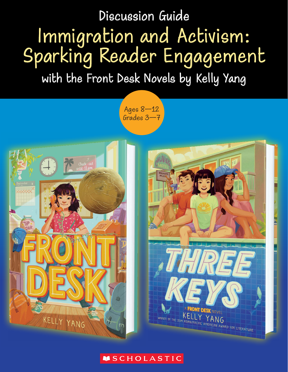# Discussion Guide Immigration and Activism: Sparking Reader Engagement

with the Front Desk Novels by Kelly Yang

Ages 8—12 Grades 3—7





#### **MSCHOLASTIC**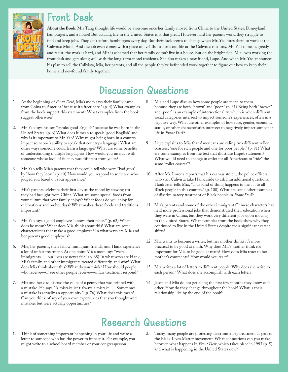#### Front Desk



**About the Book:** Mia Tang thought life would be awesome once her family moved from China to the United States: Disneyland, hamburgers, and a house! But actually, life in the United States isn't that great. However hard her parents work, they struggle to find and keep jobs. They can't afford hamburgers every day. But their luck seems to change when Mr. Yao hires them to work at the Calivista Motel! And the job even comes with a place to live! But it turns out life at the Calivista isn't easy. Mr. Yao is mean, greedy, and racist, the work is hard, and Mia is ashamed that her family doesn't live in a house. But on the bright side, Mia loves working the front desk and gets along well with the long-term motel residents. She also makes a new friend, Lupe. And when Mr. Yao announces his plan to sell the Calivista, Mia, her parents, and all the people they've befriended work together to figure out how to keep their home and newfound family together.

## Discussion Questions

- 1. At the beginning of *Front Desk*, Mia's mom says their family came from China to America "because it's freer here." (p. 4) What examples from the book support this statement? What examples from the book suggest otherwise?
- 2. Mr. Yao says his son "speaks good English" because he was born in the United States. (p. 6) What does it mean to speak "good English" and why is it important to Mr. Yao? Why might being born in a country impact someone's ability to speak that country's language? What are other ways someone could learn a language? What are some benefits of understanding multiple languages? How would you interact with someone whose level of fluency was different from yours?
- 3. Mr. Yao tells Mia's parents that they could tell who were "bad guys" by "how they look." (p. 10) How would you respond to someone who judged you based on your appearance?
- 4. Mia's parents celebrate their first day at the motel by stewing tea they had brought from China. What are some special foods from your culture that your family enjoys? What foods do you enjoy for celebrations and on holidays? What makes these foods and traditions important?
- 5. Mr. Yao says a good employee "knows their place." (p. 62) What does he mean? What does Mia think about this? What are some characteristics that make a good employee? In what ways are Mia and her parents good employees?
- 6. Mia, her parents, their fellow immigrant friends, and Hank experience a lot of unfair treatment. At one point Mia's mom says "we're immigrants . . . our lives are never fair." (p. 68) In what ways are Hank, Mia's family, and other immigrants treated differently, and why? What does Mia think about this? What do you think? How should people who receive—or see other people receive—unfair treatment respond?
- 7. Mia and her dad discuss the value of a penny that was printed with a mistake. He says, "A mistake isn't always a mistake . . . Sometimes a mistake is actually an opportunity." (p. 76) What does this mean? Can you think of any of your own experiences that you thought were mistakes but were actually opportunities?
- 8. Mia and Lupe discuss how some people are mean to them because they are both "brown" and "poor." (p. 81) Being both "brown" and "poor" is an example of intersectionality, which is when different social categories intersect to impact someone's experiences, often in a negative way. What are other examples of how race, gender, economic status, or other characteristics intersect to negatively impact someone's life in *Front Desk*?
- 9. Lupe explains to Mia that Americans are riding two different roller coasters, "one for rich people and one for poor people." (p. 81) What are some examples from the text that illustrate Lupe's statement? What would need to change in order for all Americans to "ride" the same "roller coaster"?
- 10. After Mr. Lorenz reports that his car was stolen, the police officers who visit Calivista take Hank aside to ask him additional questions. Hank later tells Mia, "This kind of thing happens to me . . . to all Black people in this country." (p. 100) What are some other examples of discriminatory treatment of Black people in *Front Desk*?
- 11. Mia's parents and some of the other immigrant Chinese characters had held more professional jobs that demonstrated their education when they were in China, but they work very different jobs upon moving to the United States. What examples from the book show why they continued to live in the United States despite their significant career shifts?
- 12. Mia wants to become a writer, but her mother thinks it's more practical to be good at math. Why does Mia's mother think it's important for Mia to be good at math? How does Mia react to her mother's comments? How would you react?
- 13. Mia writes a lot of letters to different people. Why does she write to each person? What does she accomplish with each letter?
- 14. Jason and Mia do not get along the first few months they know each other. How do they change throughout the book? What is their relationship like by the end of the book?

## Research Questions

- 1. Think of something important happening in your life and write a letter to someone who has the power to impact it. For example, you might write to a school board member or your congressperson.
- 2. Today, many people are protesting discriminatory treatment as part of the Black Lives Matter movement. What connections can you make between what happens in *Front Desk*, which takes place in 1993 (p. 5), and what is happening in the United States now?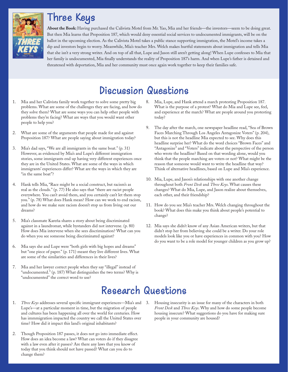### Three Keys



**About the Book:** Having purchased the Calivista Motel from Mr. Yao, Mia and her friends—the investors—seem to be doing great. But then Mia learns that Proposition 187, which would deny essential social services to undocumented immigrants, will be on the ballot in the upcoming election. As the Calivista Motel takes a public stance supporting immigration, the Motel's income takes a dip and investors begin to worry. Meanwhile, Mia's teacher Mrs. Welch makes hurtful statements about immigration and tells Mia that she isn't a very strong writer. And on top of all that, Lupe and Jason still aren't getting along! When Lupe confesses to Mia that her family is undocumented, Mia finally understands the reality of Proposition 187's harm. And when Lupe's father is detained and threatened with deportation, Mia and her community must once again work together to keep their families safe.

# Discussion Questions

- 1. Mia and her Calivista family work together to solve some pretty big problems. What are some of the challenges they are facing, and how do they solve them? What are some ways you can help other people with problems they're facing? What are ways that you would want other people to help you?
- 2. What are some of the arguments that people made for and against Proposition 187? What are people saying about immigration today?
- 3. Mia's dad says, "We are all immigrants in the same boat." (p. 31) However, as evidenced by Mia's and Lupe's different immigration stories, some immigrants end up having very different experiences once they are in the United States. What are some of the ways in which immigrants' experiences differ? What are the ways in which they are "in the same boat"?
- 4. Hank tells Mia, "Race might be a social construct, but racism's as real as the clouds." (p. 77) He also says that "there are racist people everywhere. You can't avoid them, and you certainly can't let them stop you." (p. 78) What does Hank mean? How can we work to end racism, and how do we make sure racism doesn't stop us from living out our dreams?
- 5. Mia's classmate Kareña shares a story about being discriminated against in a laundromat, while bystanders did not intervene. (p. 80) How does Mia intervene when she sees discrimination? What can you do when you see someone being discriminated against?
- 6. Mia says she and Lupe were "both girls with big hopes and dreams" but "one piece of paper." (p. 171) meant they live different lives. What are some of the similarities and differences in their lives?
- 7. Mia and her lawyer correct people when they say "illegal" instead of "undocumented." (p. 187) What distinguishes the two terms? Why is "undocumented" the correct word to use?
- 8. Mia, Lupe, and Hank attend a march protesting Proposition 187. What is the purpose of a protest? What do Mia and Lupe see, feel, and experience at the march? What are people around you protesting today?
- The day after the march, one newspaper headline read, "Sea of Brown Faces Marching Through Los Angeles Antagonize Voters" (p. 204), but this is not the headline Mia expected to see. Why does this headline surprise her? What do the word choices "Brown Faces" and "Antagonize" and "Voters" indicate about the perspective of the person who wrote the headline? Based on that wording alone, would you think that the people marching are voters or not? What might be the reason that someone would want to write the headline that way? Think of alternative headlines, based on Lupe and Mia's experience.
- 10. Mia, Lupe, and Jason's relationships with one another change throughout both *Front Desk* and *Three Keys*. What causes these changes? What do Mia, Lupe, and Jason realize about themselves, each other, and their friendship?
- 11. How do you see Mia's teacher Mrs. Welch changing throughout the book? What does this make you think about people's potential to change?
- 12. Mia says she didn't know of any Asian American writers, but that didn't stop her from believing she could be a writer. Do your role models look like you or have experiences in common with you? How do you want to be a role model for younger children as you grow up?

### Research Questions

- 1. *Three Keys* addresses several specific immigrant experiences—Mia's and 3. Lupe's—at a particular moment in time, but the migration of people and cultures has been happening all over the world for centuries. How has immmigration impacted the country we call the United States over time? How did it impact this land's original inhabitants?
- 2. Though Proposition 187 passes, it does not go into immediate effect. How does an idea become a law? What can voters do if they disagree with a law even after it passes? Are there any laws that you know of today that you think should not have passed? What can you do to change them?
- Housing insecurity is an issue for many of the characters in both *Front Desk* and *Three Keys*. Why and how do some people become housing insecure? What suggestions do you have for making sure people in your community are housed?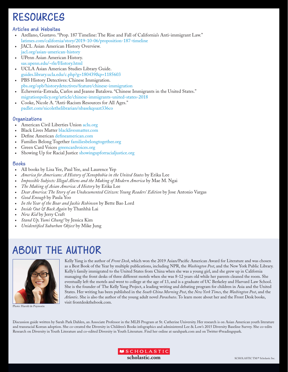## RESOURCES

#### Articles and Websites

- Arellano, Gustavo. "Prop. 187 Timeline: The Rise and Fall of California's Anti-immigrant Law." latimes.com/california/story/2019-10-06/proposition-187-timeline
- JACL Asian American History Overview. jacl.org/asian-american-history
- UPenn Asian American History. sas.upenn.edu/~rle/History.html
- UCLA Asian American Studies Library Guide. guides.library.ucla.edu/c.php?g=180439&p=1185603
- PBS History Detectives: Chinese Immigration. pbs.org/opb/historydetectives/feature/chinese-immigration
- Echeverria-Estrada, Carlos and Jeanne Batalova. "Chinese Immigrants in the United States." migrationpolicy.org/article/chinese-immigrants-united-states-2018
- Cooke, Nicole A. "Anti-Racism Resources for All Ages." padlet.com/nicolethelibrarian/nbasekqoazt336co

#### Organizations

- American Civil Liberties Union aclu.org
- Black Lives Matter blacklivesmatter.com
- Define American defineamerican.com
- Families Belong Together familiesbelongtogether.org
- Green Card Voices greencardvoices.org
- Showing Up for Racial Justice showingupforracialjustice.org

#### Books

- All books by Lisa Yee, Paul Yee, and Laurence Yep
- *America for Americans: A History of Xenophobia in the United States* by Erika Lee
- *Impossible Subjects: Illegal Aliens and the Making of Modern America* by Mae M. Ngai
- *The Making of Asian America: A History* by Erika Lee
- *Dear America: The Story of an Undocumented Citizen: Young Readers' Edition* by Jose Antonio Vargas
- *Good Enough* by Paula Yoo
- *In the Year of the Boar and Jackie Robinson* by Bette Bao Lord
- *Inside Out & Back Again* by Thanhhà Lai
- *New Kid* by Jerry Craft
- *Stand Up, Yumi Chung!* by Jessica Kim
- *Unidentified Suburban Object* by Mike Jung

## ABOUT THE AUTHOR



Photo: Harold de Puymorin

Kelly Yang is the author of *Front Desk*, which won the 2019 Asian/Pacific American Award for Literature and was chosen as a Best Book of the Year by multiple publications, including NPR, the *Washington Post*, and the New York Public Library. Kelly's family immigrated to the United States from China when she was a young girl, and she grew up in California managing the front desks of three different motels when she was 8-12 years old while her parents cleaned the room. She eventually left the motels and went to college at the age of 13, and is a graduate of UC Berkeley and Harvard Law School. She is the founder of The Kelly Yang Project, a leading writing and debating program for children in Asia and the United States. Her writing has been published in the *South China Morning Post*, the *New York Times*, the *Washington Post*, and the *Atlantic*. She is also the author of the young adult novel *Parachutes*. To learn more about her and the Front Desk books, visit frontdeskthebook.com.

Discussion guide written by Sarah Park Dahlen, an Associate Professor in the MLIS Program at St. Catherine University. Her research is on Asian American youth literature and transracial Korean adoption. She co-created the Diversity in Children's Books infographics and administered Lee & Low's 2015 Diversity Baseline Survey. She co-edits Research on Diversity in Youth Literature and co-edited Diversity in Youth Literature. Find her online at sarahpark.com and on Twitter @readingspark.